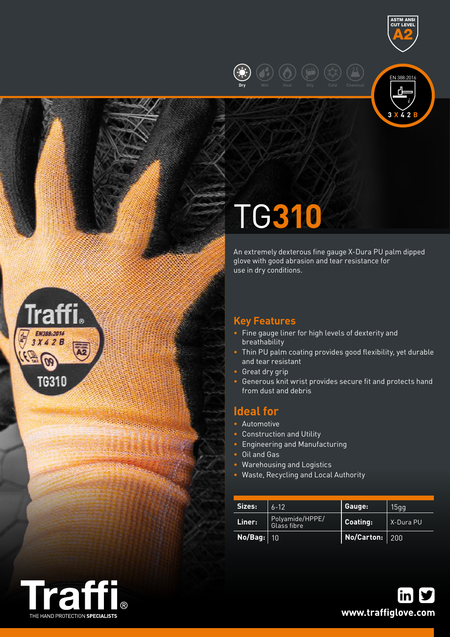





# TG**310**

An extremely dexterous fine gauge X-Dura PU palm dipped glove with good abrasion and tear resistance for use in dry conditions.

# **Key Features**

- Fine gauge liner for high levels of dexterity and breathability
- Thin PU palm coating provides good flexibility, yet durable and tear resistant
- Great dry grip
- **•** Generous knit wrist provides secure fit and protects hand from dust and debris

# **Ideal for**

- Automotive
- Construction and Utility
- Engineering and Manufacturing
- Oil and Gas
- Warehousing and Logistics
- Waste, Recycling and Local Authority

| Sizes:  | $6 - 12$                       | Gauge:            | 15qq      |  |
|---------|--------------------------------|-------------------|-----------|--|
| Liner:  | Polyamide/HPPE/<br>Glass fibre | Coating:          | X-Dura PU |  |
| No/Bag: | 10                             | No/Carton: $ 200$ |           |  |



EN388:2016  $3X42B$ 

**TG310**